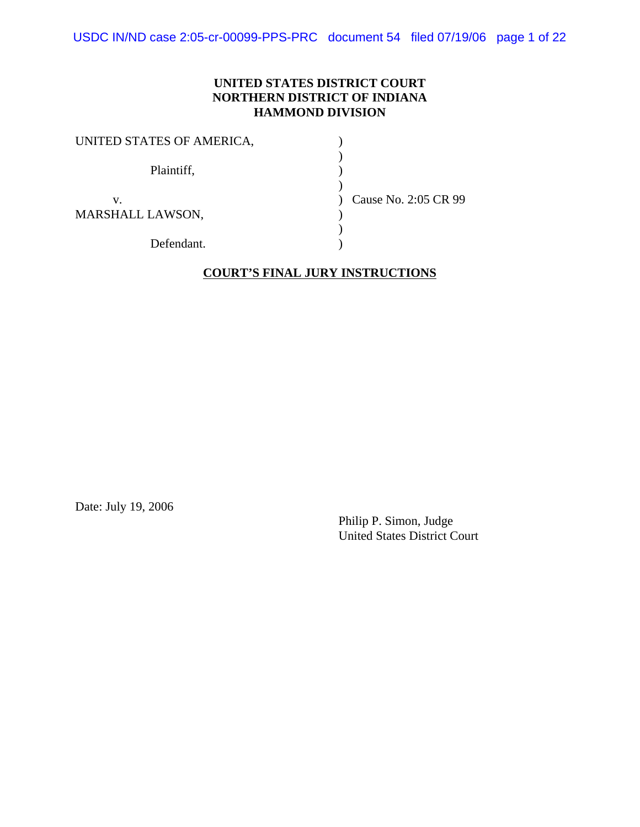USDC IN/ND case 2:05-cr-00099-PPS-PRC document 54 filed 07/19/06 page 1 of 22

#### **UNITED STATES DISTRICT COURT NORTHERN DISTRICT OF INDIANA HAMMOND DIVISION**

| UNITED STATES OF AMERICA, |                      |
|---------------------------|----------------------|
| Plaintiff,                |                      |
| v.<br>MARSHALL LAWSON,    | Cause No. 2:05 CR 99 |
| Defendant.                |                      |

#### **COURT'S FINAL JURY INSTRUCTIONS**

Date: July 19, 2006

Philip P. Simon, Judge United States District Court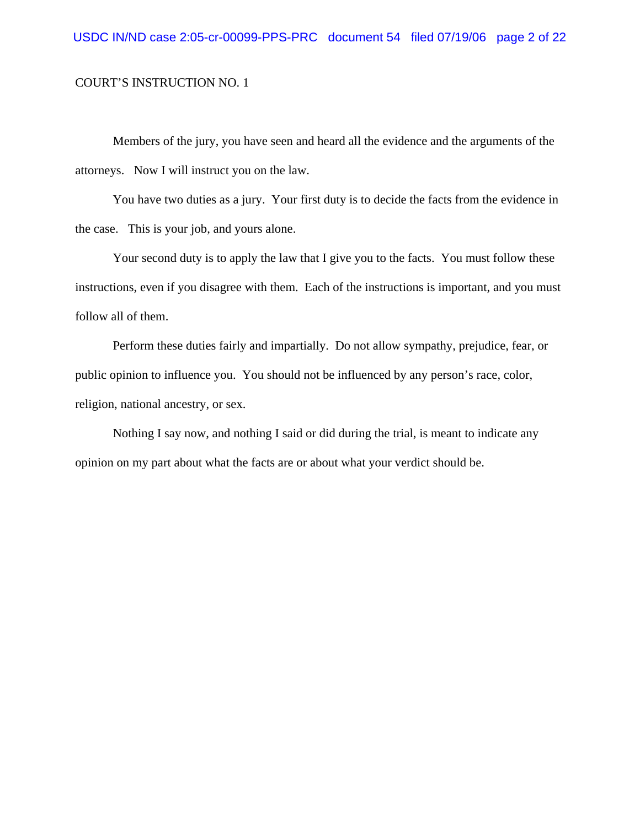Members of the jury, you have seen and heard all the evidence and the arguments of the attorneys. Now I will instruct you on the law.

You have two duties as a jury. Your first duty is to decide the facts from the evidence in the case. This is your job, and yours alone.

Your second duty is to apply the law that I give you to the facts. You must follow these instructions, even if you disagree with them. Each of the instructions is important, and you must follow all of them.

Perform these duties fairly and impartially. Do not allow sympathy, prejudice, fear, or public opinion to influence you. You should not be influenced by any person's race, color, religion, national ancestry, or sex.

Nothing I say now, and nothing I said or did during the trial, is meant to indicate any opinion on my part about what the facts are or about what your verdict should be.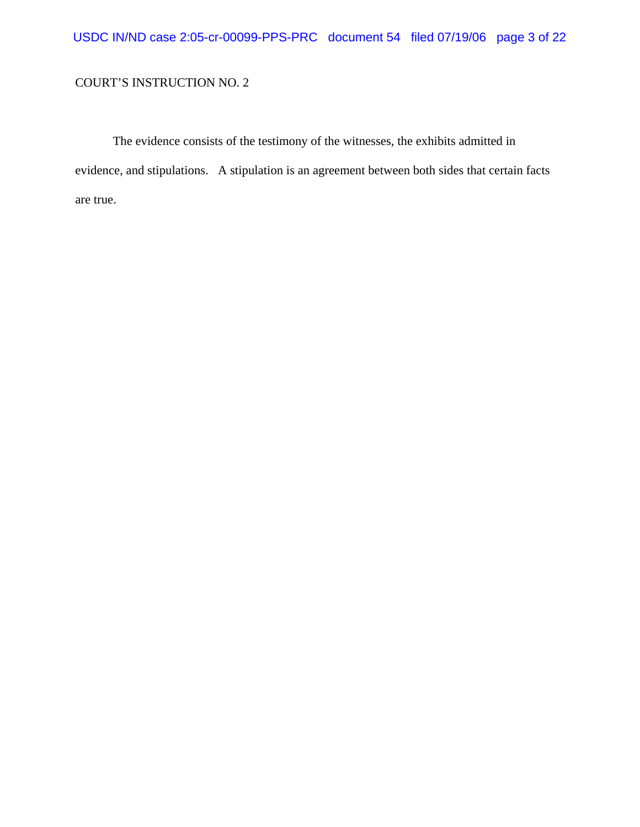The evidence consists of the testimony of the witnesses, the exhibits admitted in evidence, and stipulations. A stipulation is an agreement between both sides that certain facts are true.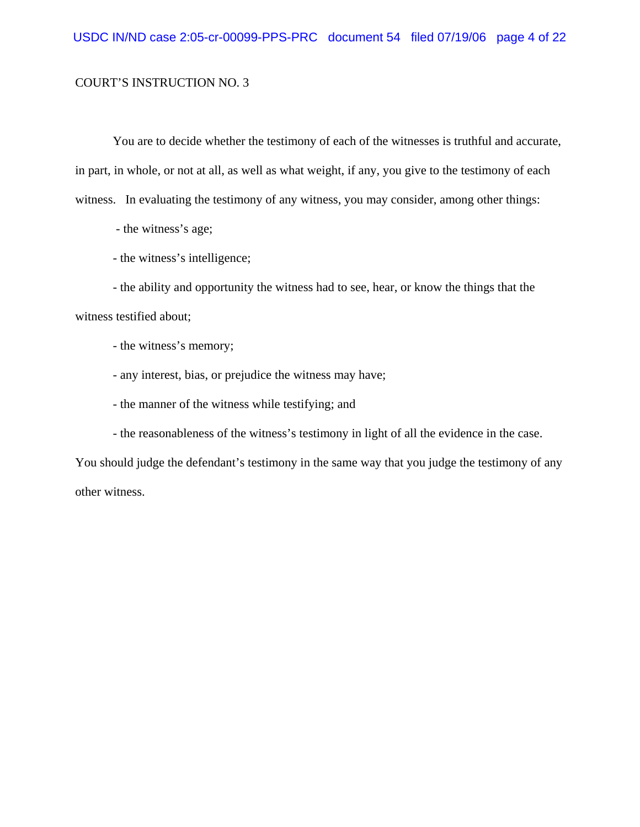You are to decide whether the testimony of each of the witnesses is truthful and accurate, in part, in whole, or not at all, as well as what weight, if any, you give to the testimony of each witness. In evaluating the testimony of any witness, you may consider, among other things:

- the witness's age;

- the witness's intelligence;

- the ability and opportunity the witness had to see, hear, or know the things that the witness testified about;

- the witness's memory;

- any interest, bias, or prejudice the witness may have;

- the manner of the witness while testifying; and

- the reasonableness of the witness's testimony in light of all the evidence in the case.

You should judge the defendant's testimony in the same way that you judge the testimony of any other witness.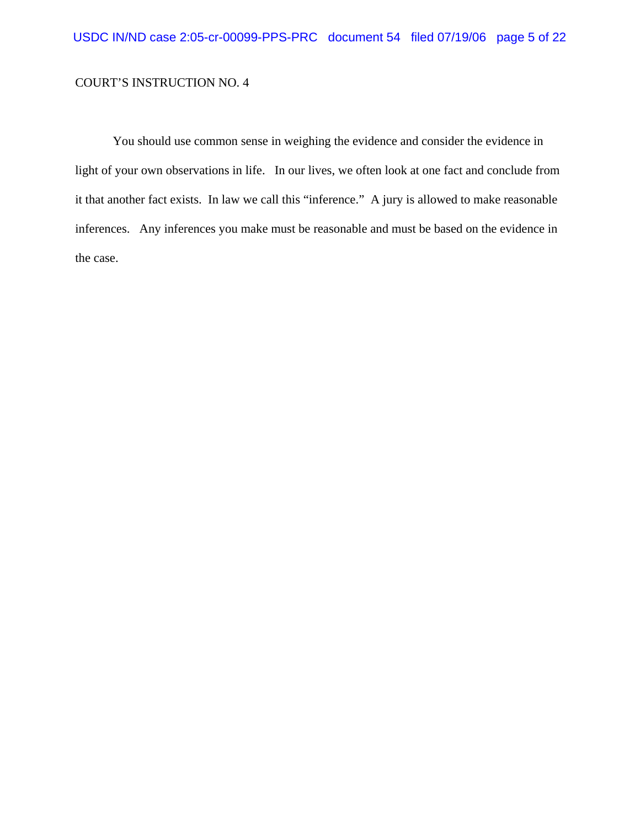You should use common sense in weighing the evidence and consider the evidence in light of your own observations in life. In our lives, we often look at one fact and conclude from it that another fact exists. In law we call this "inference." A jury is allowed to make reasonable inferences. Any inferences you make must be reasonable and must be based on the evidence in the case.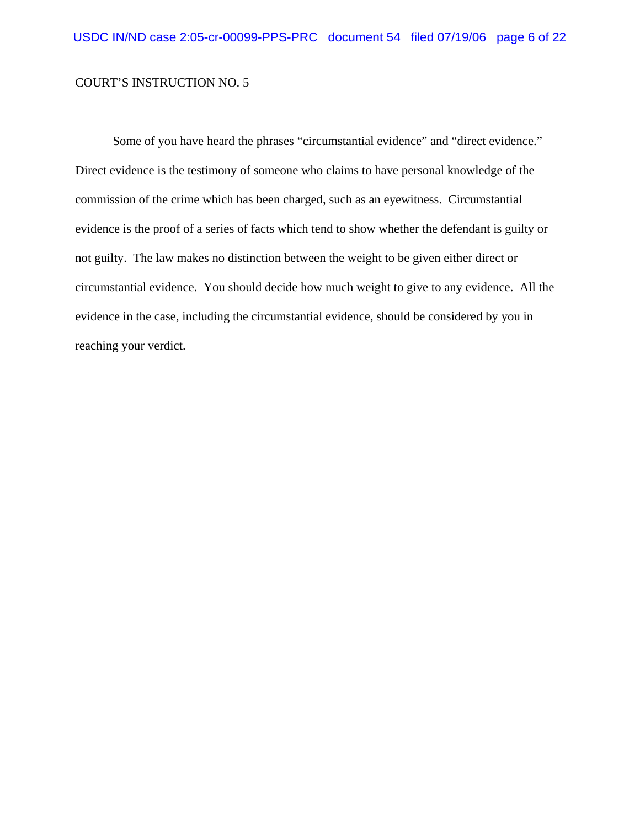Some of you have heard the phrases "circumstantial evidence" and "direct evidence." Direct evidence is the testimony of someone who claims to have personal knowledge of the commission of the crime which has been charged, such as an eyewitness. Circumstantial evidence is the proof of a series of facts which tend to show whether the defendant is guilty or not guilty. The law makes no distinction between the weight to be given either direct or circumstantial evidence. You should decide how much weight to give to any evidence. All the evidence in the case, including the circumstantial evidence, should be considered by you in reaching your verdict.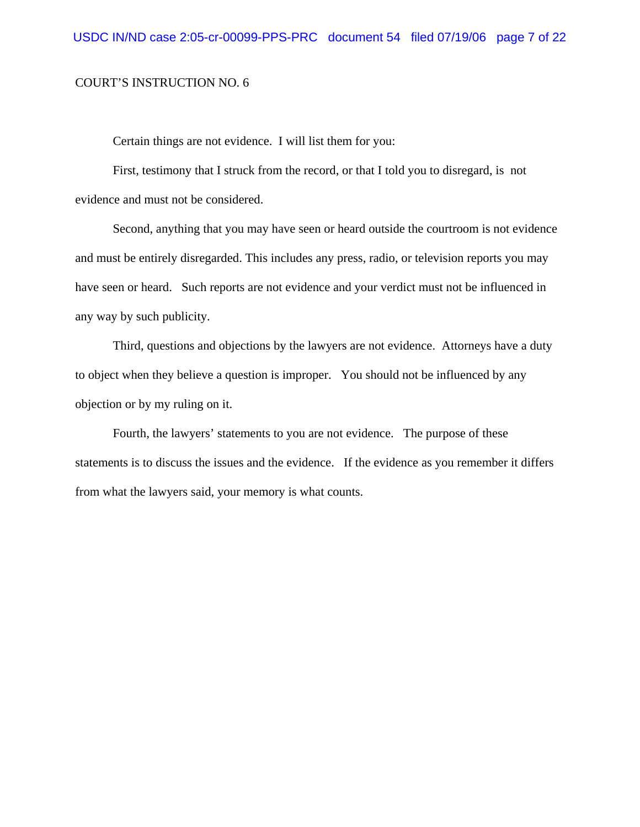Certain things are not evidence. I will list them for you:

First, testimony that I struck from the record, or that I told you to disregard, is not evidence and must not be considered.

Second, anything that you may have seen or heard outside the courtroom is not evidence and must be entirely disregarded. This includes any press, radio, or television reports you may have seen or heard. Such reports are not evidence and your verdict must not be influenced in any way by such publicity.

Third, questions and objections by the lawyers are not evidence. Attorneys have a duty to object when they believe a question is improper. You should not be influenced by any objection or by my ruling on it.

Fourth, the lawyers' statements to you are not evidence. The purpose of these statements is to discuss the issues and the evidence. If the evidence as you remember it differs from what the lawyers said, your memory is what counts.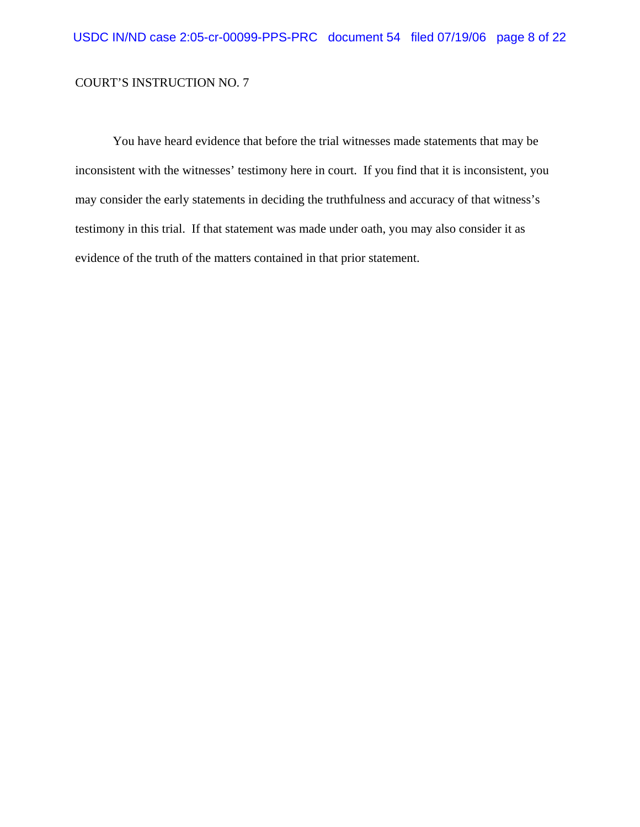You have heard evidence that before the trial witnesses made statements that may be inconsistent with the witnesses' testimony here in court. If you find that it is inconsistent, you may consider the early statements in deciding the truthfulness and accuracy of that witness's testimony in this trial. If that statement was made under oath, you may also consider it as evidence of the truth of the matters contained in that prior statement.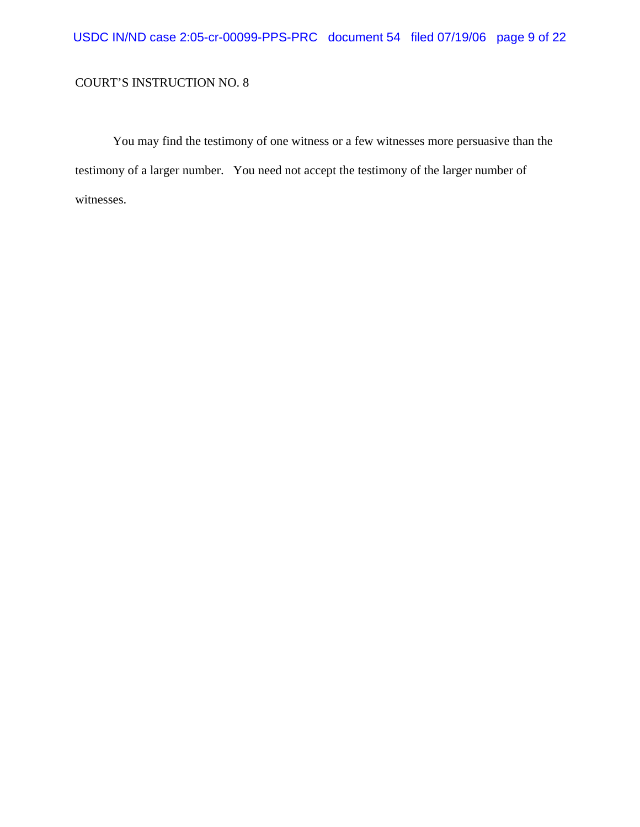You may find the testimony of one witness or a few witnesses more persuasive than the testimony of a larger number. You need not accept the testimony of the larger number of witnesses.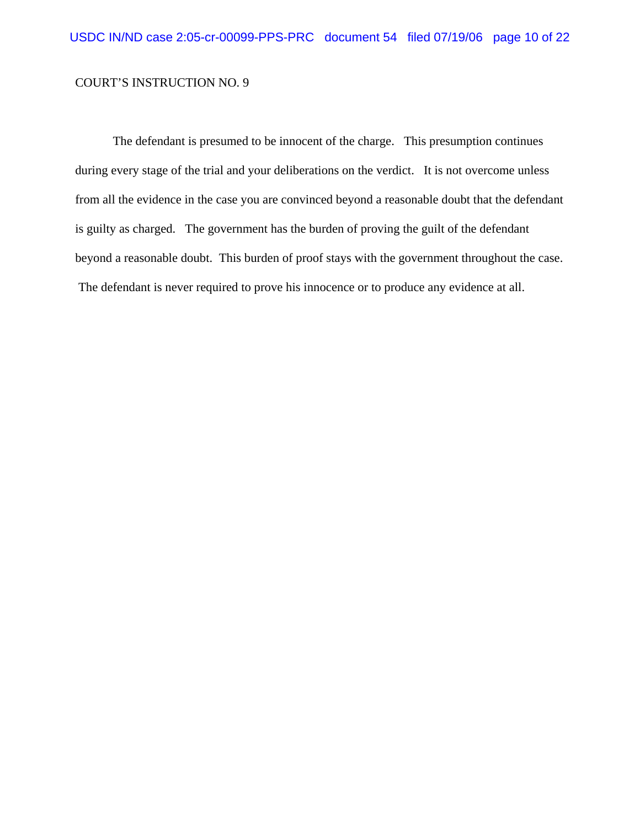The defendant is presumed to be innocent of the charge. This presumption continues during every stage of the trial and your deliberations on the verdict. It is not overcome unless from all the evidence in the case you are convinced beyond a reasonable doubt that the defendant is guilty as charged. The government has the burden of proving the guilt of the defendant beyond a reasonable doubt. This burden of proof stays with the government throughout the case. The defendant is never required to prove his innocence or to produce any evidence at all.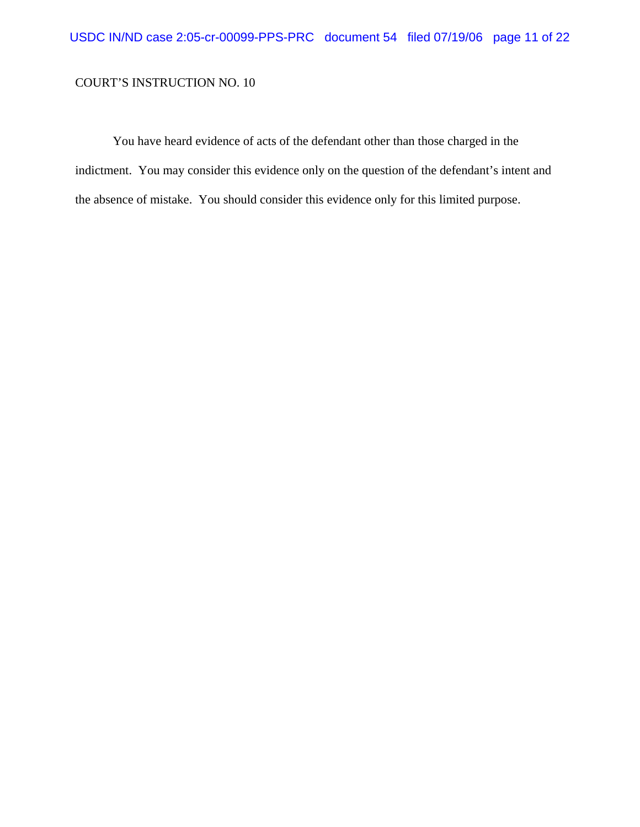You have heard evidence of acts of the defendant other than those charged in the indictment. You may consider this evidence only on the question of the defendant's intent and the absence of mistake. You should consider this evidence only for this limited purpose.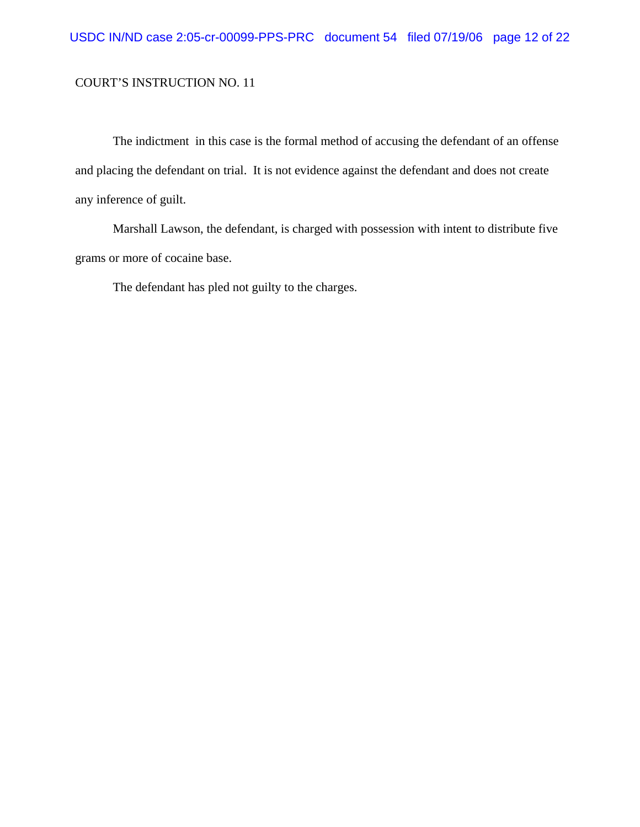The indictment in this case is the formal method of accusing the defendant of an offense and placing the defendant on trial. It is not evidence against the defendant and does not create any inference of guilt.

Marshall Lawson, the defendant, is charged with possession with intent to distribute five grams or more of cocaine base.

The defendant has pled not guilty to the charges.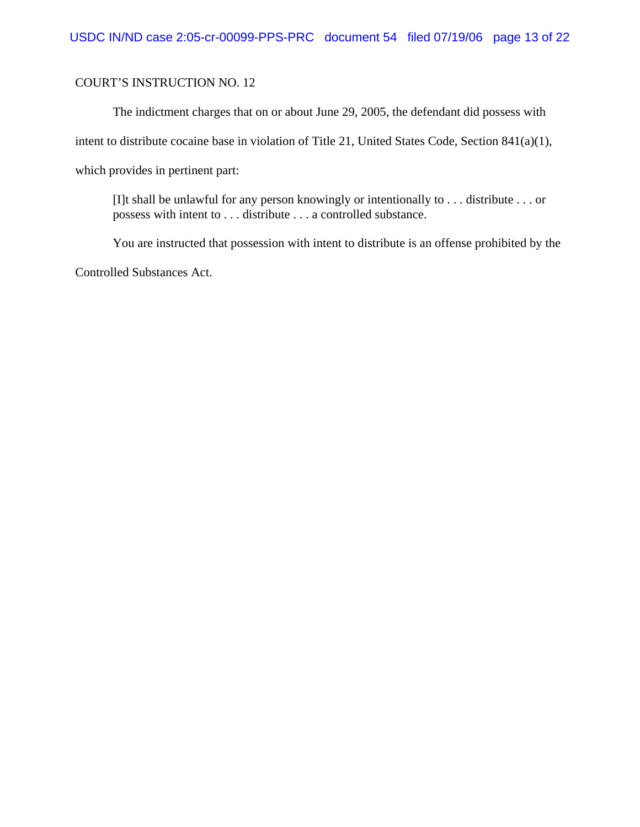The indictment charges that on or about June 29, 2005, the defendant did possess with intent to distribute cocaine base in violation of Title 21, United States Code, Section 841(a)(1), which provides in pertinent part:

[I]t shall be unlawful for any person knowingly or intentionally to . . . distribute . . . or possess with intent to . . . distribute . . . a controlled substance.

You are instructed that possession with intent to distribute is an offense prohibited by the Controlled Substances Act.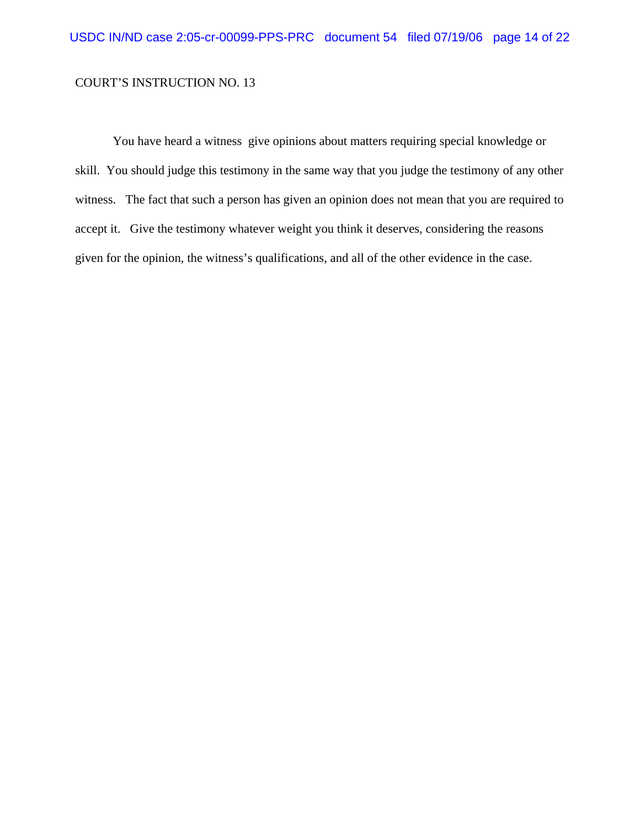You have heard a witness give opinions about matters requiring special knowledge or skill. You should judge this testimony in the same way that you judge the testimony of any other witness. The fact that such a person has given an opinion does not mean that you are required to accept it. Give the testimony whatever weight you think it deserves, considering the reasons given for the opinion, the witness's qualifications, and all of the other evidence in the case.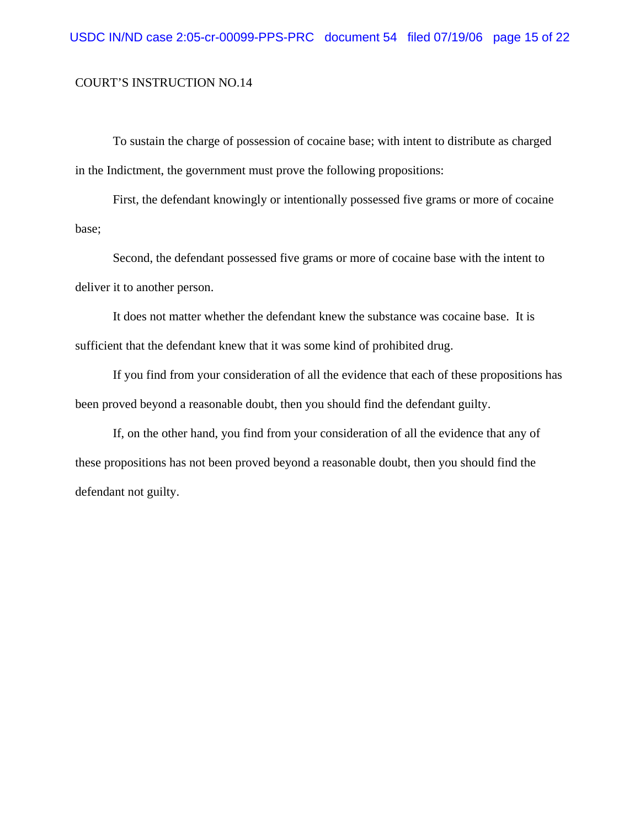To sustain the charge of possession of cocaine base; with intent to distribute as charged in the Indictment, the government must prove the following propositions:

First, the defendant knowingly or intentionally possessed five grams or more of cocaine base;

Second, the defendant possessed five grams or more of cocaine base with the intent to deliver it to another person.

It does not matter whether the defendant knew the substance was cocaine base. It is sufficient that the defendant knew that it was some kind of prohibited drug.

If you find from your consideration of all the evidence that each of these propositions has been proved beyond a reasonable doubt, then you should find the defendant guilty.

If, on the other hand, you find from your consideration of all the evidence that any of these propositions has not been proved beyond a reasonable doubt, then you should find the defendant not guilty.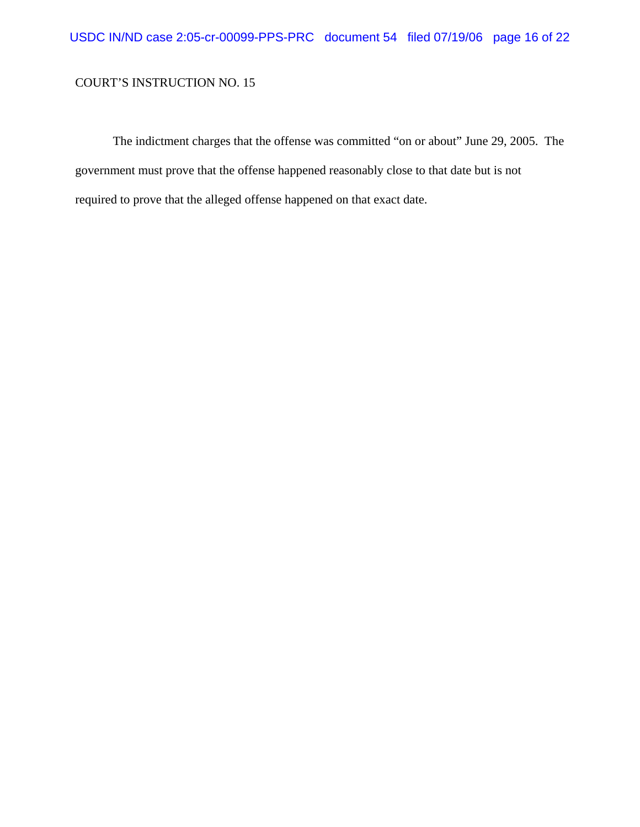The indictment charges that the offense was committed "on or about" June 29, 2005. The government must prove that the offense happened reasonably close to that date but is not required to prove that the alleged offense happened on that exact date.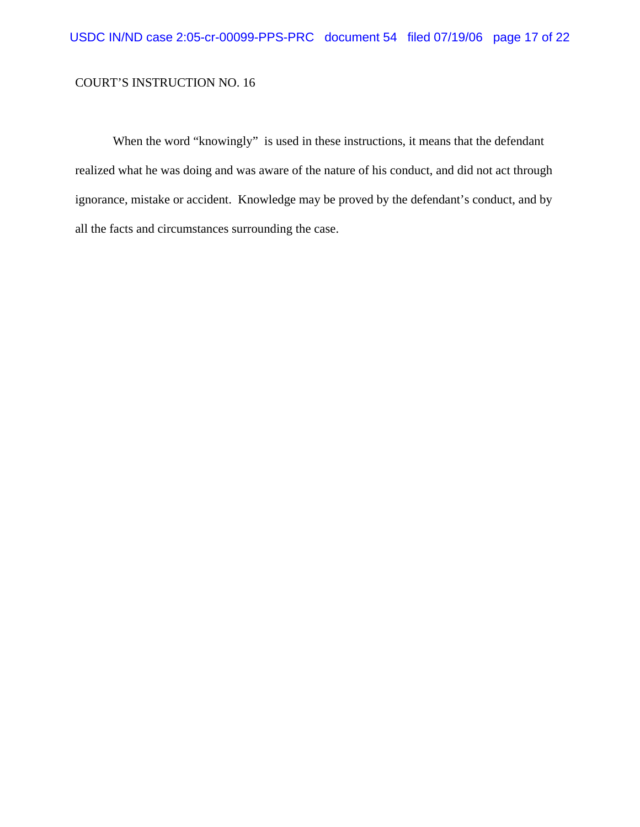When the word "knowingly" is used in these instructions, it means that the defendant realized what he was doing and was aware of the nature of his conduct, and did not act through ignorance, mistake or accident. Knowledge may be proved by the defendant's conduct, and by all the facts and circumstances surrounding the case.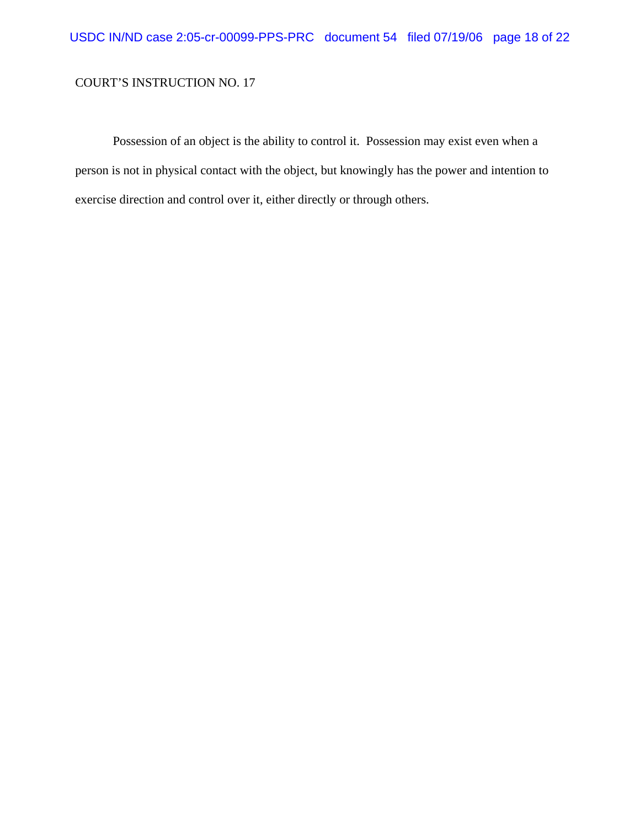Possession of an object is the ability to control it. Possession may exist even when a person is not in physical contact with the object, but knowingly has the power and intention to exercise direction and control over it, either directly or through others.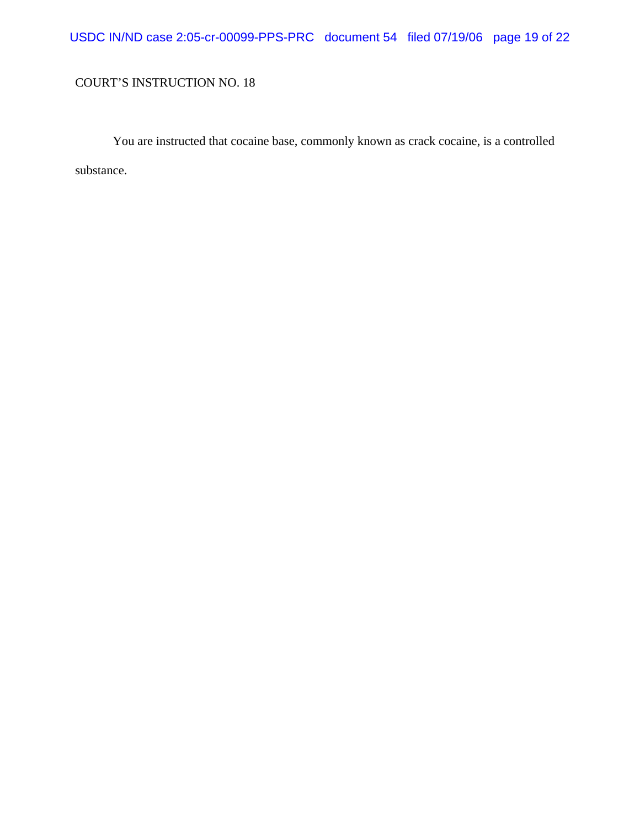# USDC IN/ND case 2:05-cr-00099-PPS-PRC document 54 filed 07/19/06 page 19 of 22

## COURT'S INSTRUCTION NO. 18

You are instructed that cocaine base, commonly known as crack cocaine, is a controlled substance.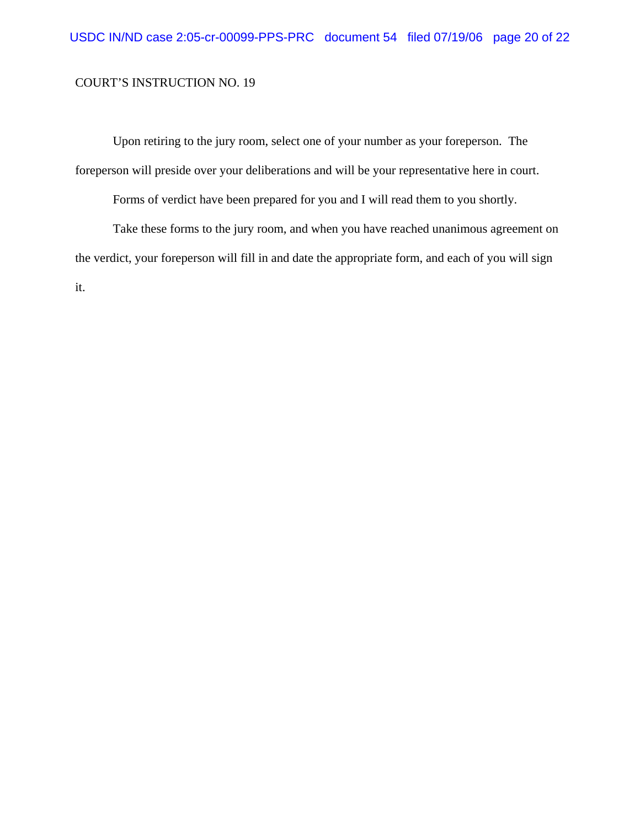Upon retiring to the jury room, select one of your number as your foreperson. The foreperson will preside over your deliberations and will be your representative here in court.

Forms of verdict have been prepared for you and I will read them to you shortly.

Take these forms to the jury room, and when you have reached unanimous agreement on the verdict, your foreperson will fill in and date the appropriate form, and each of you will sign it.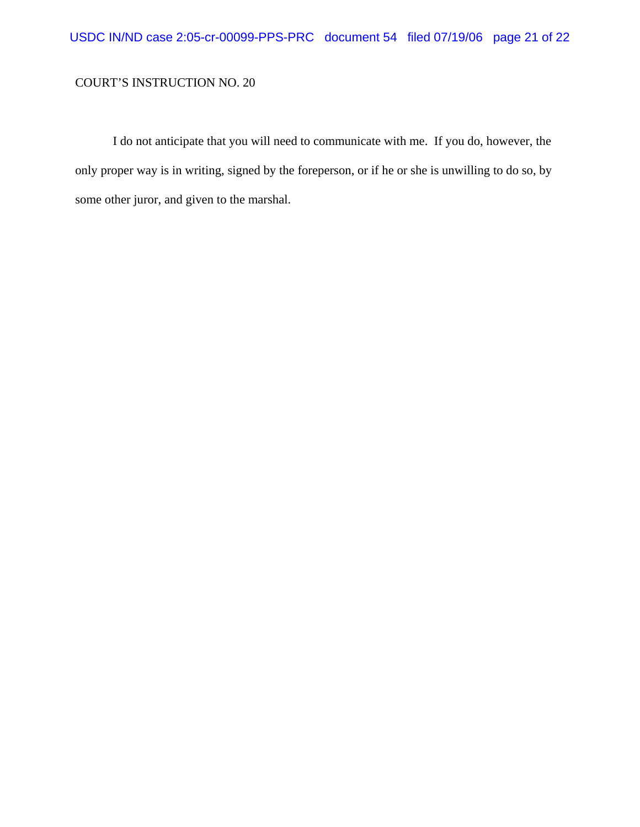I do not anticipate that you will need to communicate with me. If you do, however, the only proper way is in writing, signed by the foreperson, or if he or she is unwilling to do so, by some other juror, and given to the marshal.